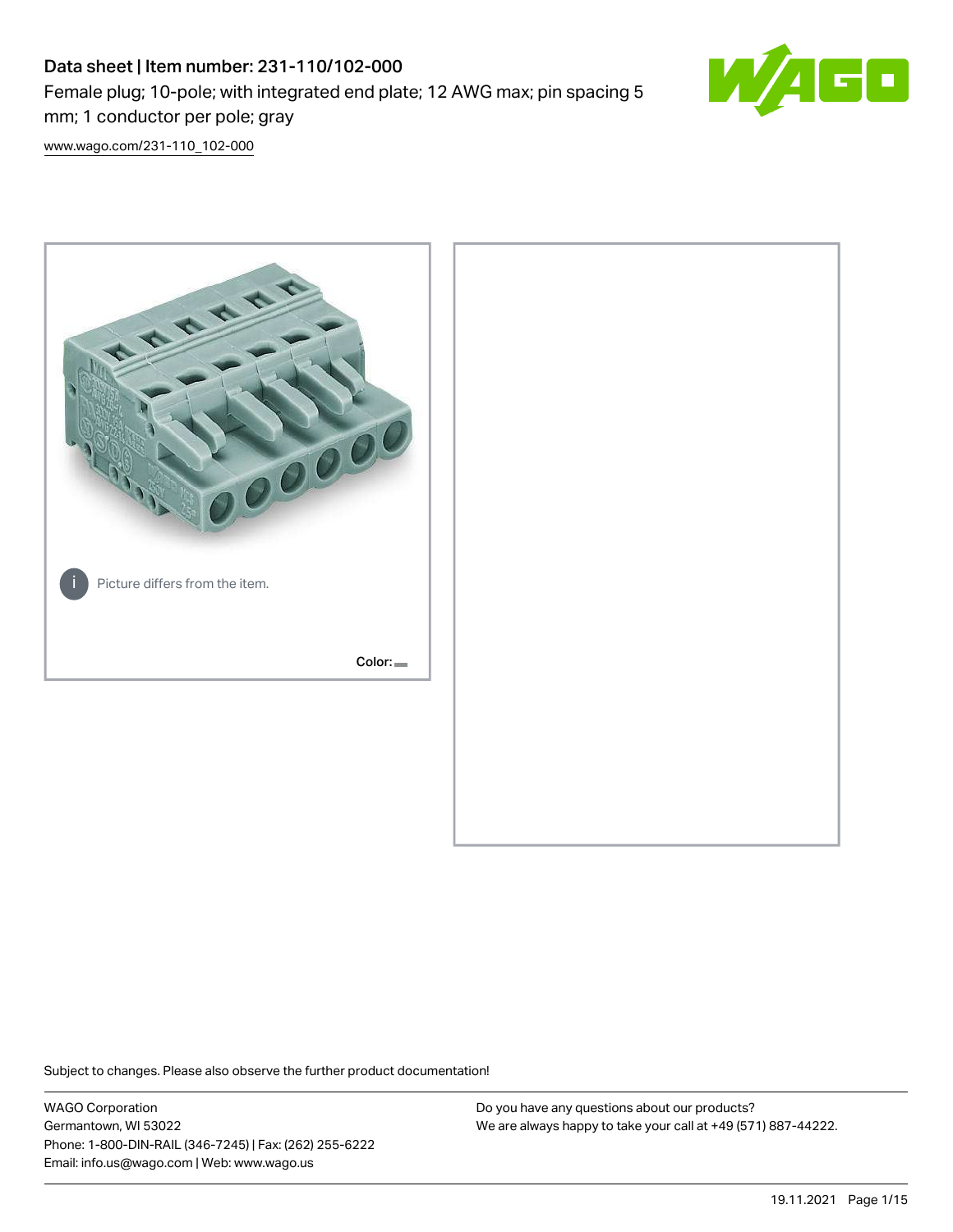# Data sheet | Item number: 231-110/102-000 Female plug; 10-pole; with integrated end plate; 12 AWG max; pin spacing 5 mm; 1 conductor per pole; gray



[www.wago.com/231-110\\_102-000](http://www.wago.com/231-110_102-000)



Subject to changes. Please also observe the further product documentation!

WAGO Corporation Germantown, WI 53022 Phone: 1-800-DIN-RAIL (346-7245) | Fax: (262) 255-6222 Email: info.us@wago.com | Web: www.wago.us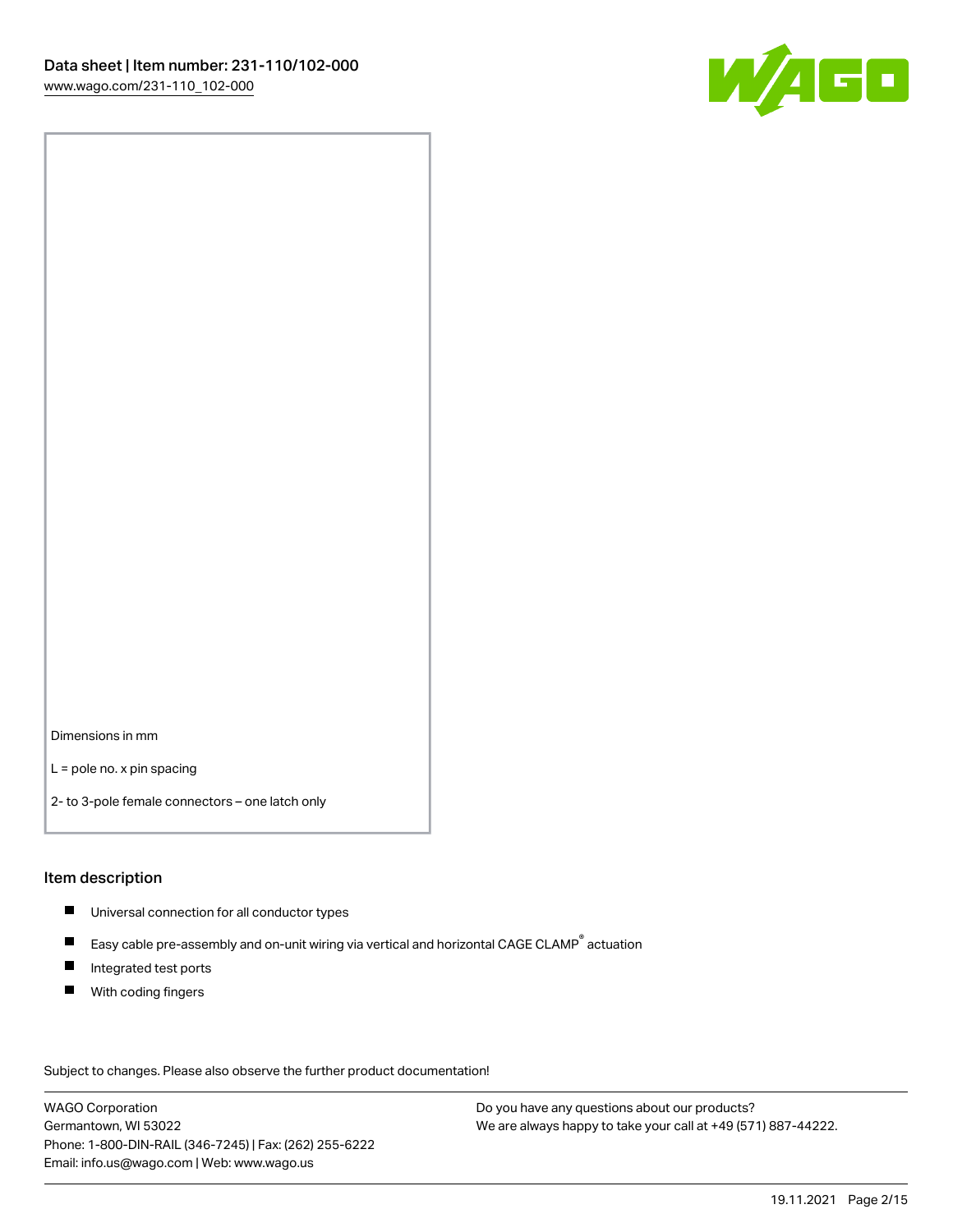

Dimensions in mm

L = pole no. x pin spacing

2- to 3-pole female connectors – one latch only

#### Item description

- **Universal connection for all conductor types**
- Easy cable pre-assembly and on-unit wiring via vertical and horizontal CAGE CLAMP<sup>®</sup> actuation  $\blacksquare$
- $\blacksquare$ Integrated test ports
- $\blacksquare$ With coding fingers

Subject to changes. Please also observe the further product documentation! Data

WAGO Corporation Germantown, WI 53022 Phone: 1-800-DIN-RAIL (346-7245) | Fax: (262) 255-6222 Email: info.us@wago.com | Web: www.wago.us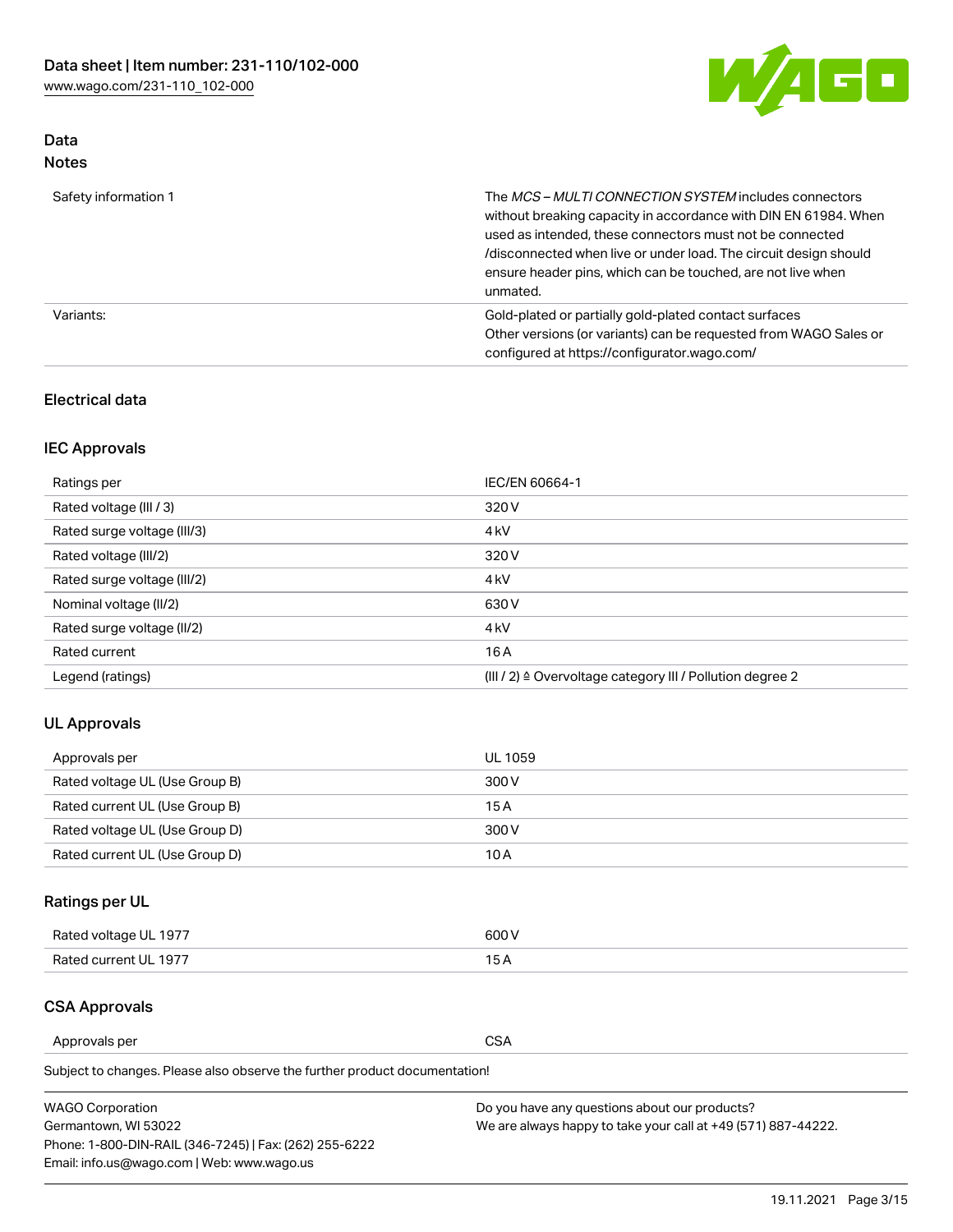

### Data Notes

| Safety information 1 | The MCS-MULTI CONNECTION SYSTEM includes connectors<br>without breaking capacity in accordance with DIN EN 61984. When<br>used as intended, these connectors must not be connected<br>/disconnected when live or under load. The circuit design should<br>ensure header pins, which can be touched, are not live when<br>unmated. |
|----------------------|-----------------------------------------------------------------------------------------------------------------------------------------------------------------------------------------------------------------------------------------------------------------------------------------------------------------------------------|
| Variants:            | Gold-plated or partially gold-plated contact surfaces<br>Other versions (or variants) can be requested from WAGO Sales or<br>configured at https://configurator.wago.com/                                                                                                                                                         |

### Electrical data

## IEC Approvals

| Ratings per                 | IEC/EN 60664-1                                                        |  |
|-----------------------------|-----------------------------------------------------------------------|--|
| Rated voltage (III / 3)     | 320 V                                                                 |  |
| Rated surge voltage (III/3) | 4 <sub>k</sub> V                                                      |  |
| Rated voltage (III/2)       | 320 V                                                                 |  |
| Rated surge voltage (III/2) | 4 <sub>k</sub> V                                                      |  |
| Nominal voltage (II/2)      | 630 V                                                                 |  |
| Rated surge voltage (II/2)  | 4 <sub>k</sub> V                                                      |  |
| Rated current               | 16A                                                                   |  |
| Legend (ratings)            | $(III / 2)$ $\triangle$ Overvoltage category III / Pollution degree 2 |  |

### UL Approvals

| Approvals per                  | UL 1059 |
|--------------------------------|---------|
| Rated voltage UL (Use Group B) | 300 V   |
| Rated current UL (Use Group B) | 15 A    |
| Rated voltage UL (Use Group D) | 300 V   |
| Rated current UL (Use Group D) | 10 A    |

## Ratings per UL

| Rated voltage UL 1977 | 300 V |
|-----------------------|-------|
| Rated current UL 1977 |       |

### CSA Approvals

Approvals per CSA

Subject to changes. Please also observe the further product documentation!

| <b>WAGO Corporation</b>                                | Do you have any questions about our products?                 |
|--------------------------------------------------------|---------------------------------------------------------------|
| Germantown, WI 53022                                   | We are always happy to take your call at +49 (571) 887-44222. |
| Phone: 1-800-DIN-RAIL (346-7245)   Fax: (262) 255-6222 |                                                               |
| Email: info.us@wago.com   Web: www.wago.us             |                                                               |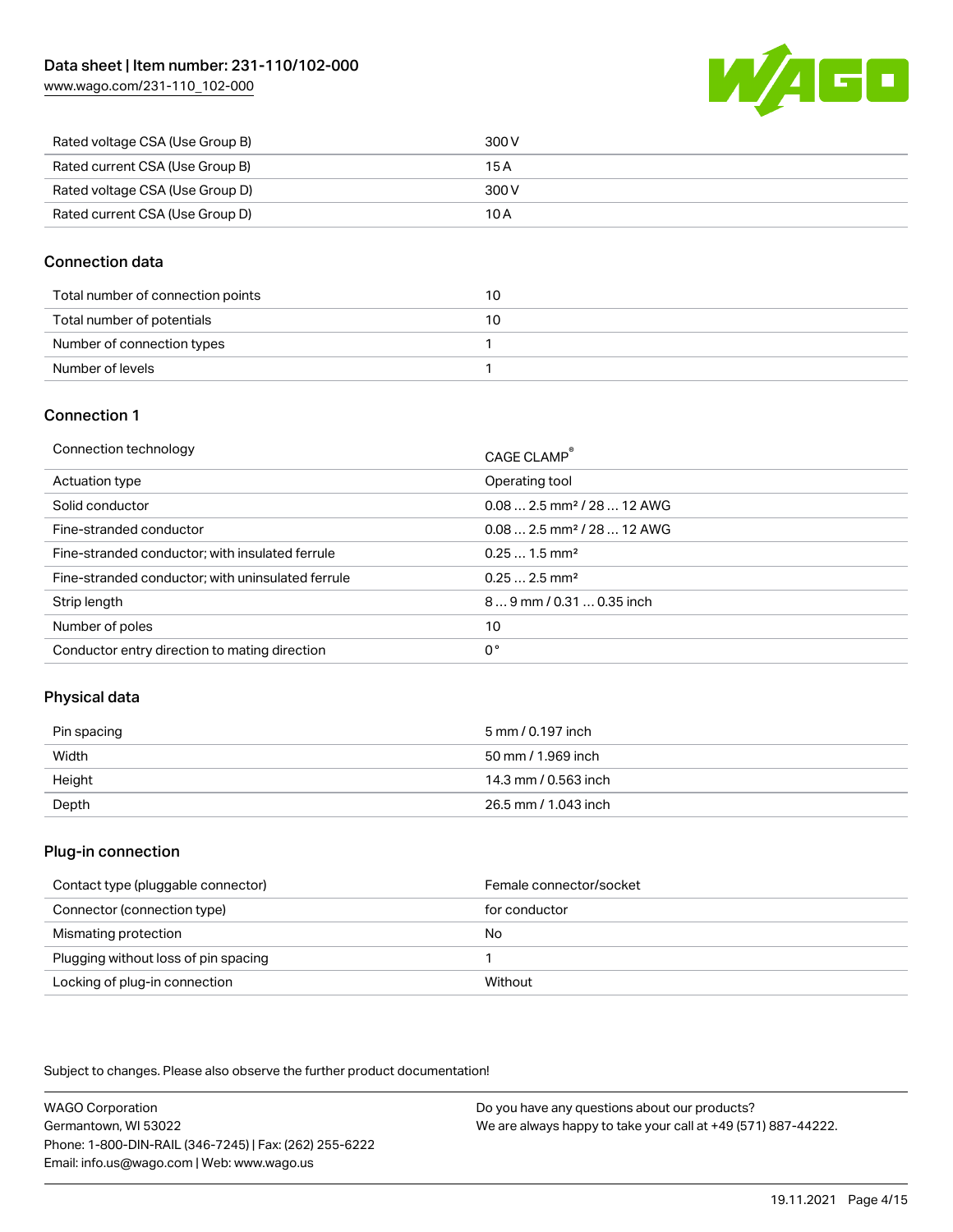

| Rated voltage CSA (Use Group B) | 300 V |
|---------------------------------|-------|
| Rated current CSA (Use Group B) | 15 A  |
| Rated voltage CSA (Use Group D) | 300 V |
| Rated current CSA (Use Group D) | 10 A  |

#### Connection data

| Total number of connection points | 10 |
|-----------------------------------|----|
| Total number of potentials        | 10 |
| Number of connection types        |    |
| Number of levels                  |    |

#### Connection 1

| Connection technology                             | CAGE CLAMP®                             |
|---------------------------------------------------|-----------------------------------------|
| Actuation type                                    | Operating tool                          |
| Solid conductor                                   | $0.082.5$ mm <sup>2</sup> / 28  12 AWG  |
| Fine-stranded conductor                           | $0.08$ 2.5 mm <sup>2</sup> / 28  12 AWG |
| Fine-stranded conductor; with insulated ferrule   | $0.251.5$ mm <sup>2</sup>               |
| Fine-stranded conductor; with uninsulated ferrule | $0.252.5$ mm <sup>2</sup>               |
| Strip length                                      | 89 mm / 0.31  0.35 inch                 |
| Number of poles                                   | 10                                      |
| Conductor entry direction to mating direction     | 0°                                      |

### Physical data

| Pin spacing | 5 mm / 0.197 inch    |
|-------------|----------------------|
| Width       | 50 mm / 1.969 inch   |
| Height      | 14.3 mm / 0.563 inch |
| Depth       | 26.5 mm / 1.043 inch |

#### Plug-in connection

| Contact type (pluggable connector)   | Female connector/socket |
|--------------------------------------|-------------------------|
| Connector (connection type)          | for conductor           |
| Mismating protection                 | No                      |
| Plugging without loss of pin spacing |                         |
| Locking of plug-in connection        | Without                 |

Subject to changes. Please also observe the further product documentation!

WAGO Corporation Germantown, WI 53022 Phone: 1-800-DIN-RAIL (346-7245) | Fax: (262) 255-6222 Email: info.us@wago.com | Web: www.wago.us Do you have any questions about our products? We are always happy to take your call at +49 (571) 887-44222.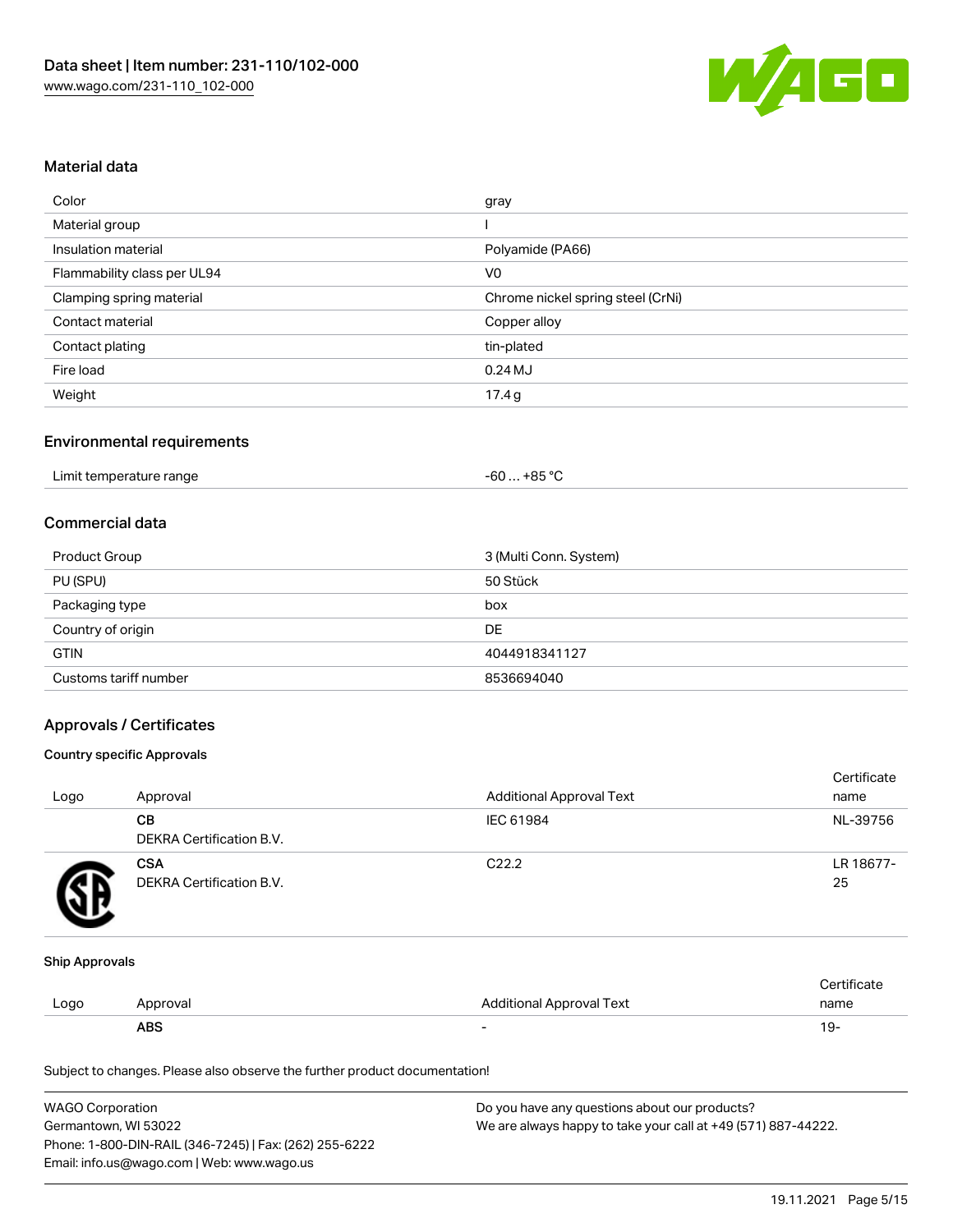

#### Material data

| Color                       | gray                              |
|-----------------------------|-----------------------------------|
| Material group              |                                   |
| Insulation material         | Polyamide (PA66)                  |
| Flammability class per UL94 | V <sub>0</sub>                    |
| Clamping spring material    | Chrome nickel spring steel (CrNi) |
| Contact material            | Copper alloy                      |
| Contact plating             | tin-plated                        |
| Fire load                   | $0.24$ MJ                         |
| Weight                      | 17.4g                             |

#### Environmental requirements

| Limit temperature range | . +85 °ົ<br>-60 |  |
|-------------------------|-----------------|--|
|-------------------------|-----------------|--|

#### Commercial data

| Product Group         | 3 (Multi Conn. System) |
|-----------------------|------------------------|
| PU (SPU)              | 50 Stück               |
| Packaging type        | box                    |
| Country of origin     | DE                     |
| <b>GTIN</b>           | 4044918341127          |
| Customs tariff number | 8536694040             |

#### Approvals / Certificates

#### Country specific Approvals

| Logo | Approval                               | <b>Additional Approval Text</b> | Certificate<br>name |
|------|----------------------------------------|---------------------------------|---------------------|
|      | CВ<br>DEKRA Certification B.V.         | IEC 61984                       | NL-39756            |
|      | <b>CSA</b><br>DEKRA Certification B.V. | C <sub>22.2</sub>               | LR 18677-<br>25     |

#### Ship Approvals

|      | ABS      |                          | ី ។         |
|------|----------|--------------------------|-------------|
| Logo | Approval | Additional Approval Text | name        |
|      |          |                          | ∵ertificat⊨ |

Subject to changes. Please also observe the further product documentation!

| <b>WAGO Corporation</b>                                | Do you have any questions about our products?                 |
|--------------------------------------------------------|---------------------------------------------------------------|
| Germantown, WI 53022                                   | We are always happy to take your call at +49 (571) 887-44222. |
| Phone: 1-800-DIN-RAIL (346-7245)   Fax: (262) 255-6222 |                                                               |
| Email: info.us@wago.com   Web: www.wago.us             |                                                               |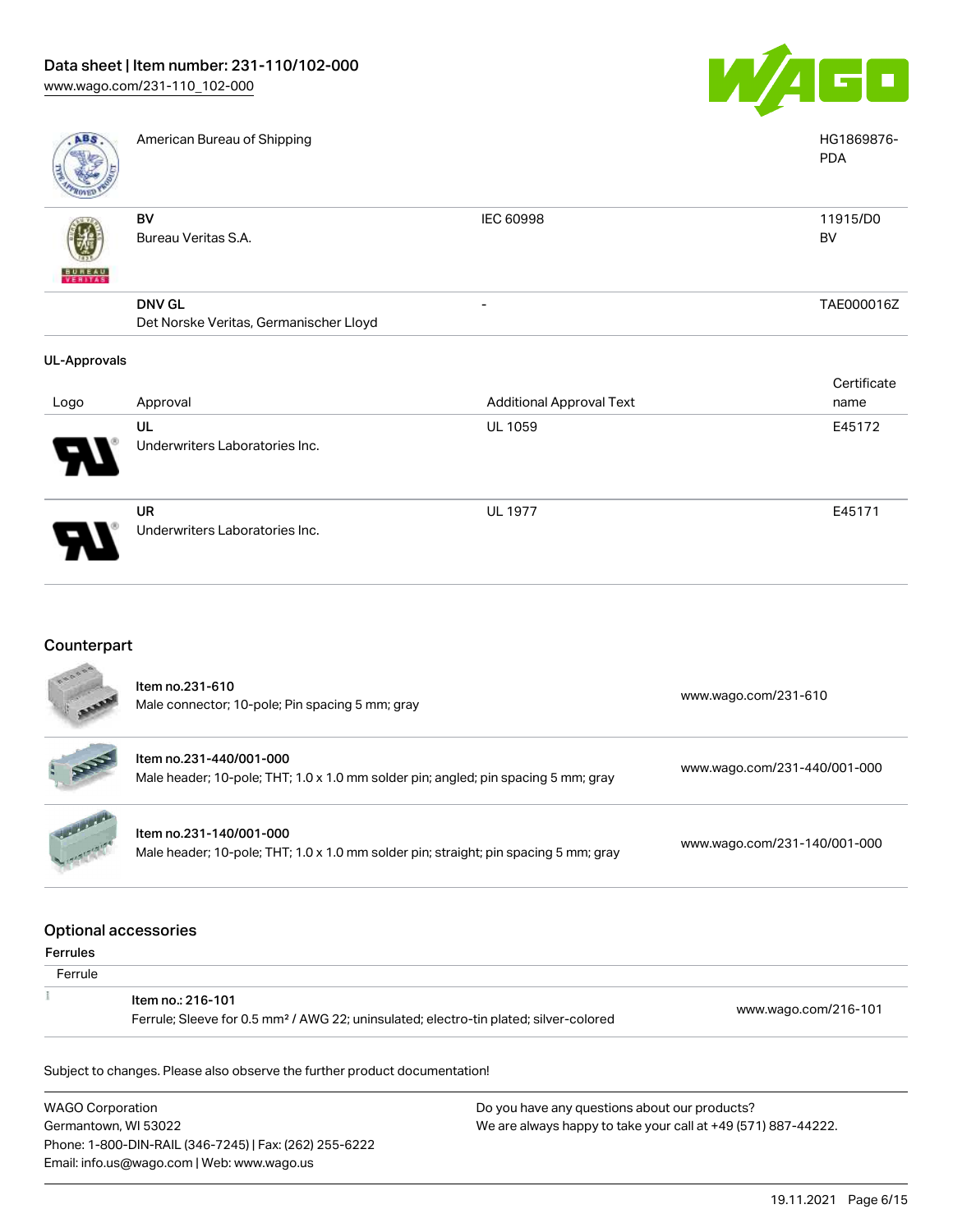

| ABS                      | American Bureau of Shipping            |                                 | HG1869876-<br><b>PDA</b> |
|--------------------------|----------------------------------------|---------------------------------|--------------------------|
|                          | BV                                     | IEC 60998                       | 11915/D0                 |
|                          | Bureau Veritas S.A.                    |                                 | BV                       |
| <b>BUNEAU</b><br>VERITAS |                                        |                                 |                          |
|                          | <b>DNV GL</b>                          | -                               | TAE000016Z               |
|                          | Det Norske Veritas, Germanischer Lloyd |                                 |                          |
| <b>UL-Approvals</b>      |                                        |                                 |                          |
|                          |                                        |                                 | Certificate              |
| Logo                     | Approval                               | <b>Additional Approval Text</b> | name                     |
|                          | UL                                     | <b>UL 1059</b>                  | E45172                   |
|                          | Underwriters Laboratories Inc.         |                                 |                          |

UR Underwriters Laboratories Inc.

### Counterpart

|                                                | Item no.231-610<br>Male connector; 10-pole; Pin spacing 5 mm; gray                                                     | www.wago.com/231-610         |
|------------------------------------------------|------------------------------------------------------------------------------------------------------------------------|------------------------------|
|                                                | Item no.231-440/001-000<br>Male header; 10-pole; THT; 1.0 x 1.0 mm solder pin; angled; pin spacing 5 mm; gray          | www.wago.com/231-440/001-000 |
|                                                | Item no.231-140/001-000<br>Male header; 10-pole; THT; 1.0 x 1.0 mm solder pin; straight; pin spacing 5 mm; gray        | www.wago.com/231-140/001-000 |
| <b>Optional accessories</b><br><b>Ferrules</b> |                                                                                                                        |                              |
| Ferrule                                        |                                                                                                                        |                              |
|                                                | Item no.: 216-101<br>Ferrule; Sleeve for 0.5 mm <sup>2</sup> / AWG 22; uninsulated; electro-tin plated; silver-colored | www.wago.com/216-101         |

Subject to changes. Please also observe the further product documentation!

WAGO Corporation Germantown, WI 53022 Phone: 1-800-DIN-RAIL (346-7245) | Fax: (262) 255-6222 Email: info.us@wago.com | Web: www.wago.us

Do you have any questions about our products? We are always happy to take your call at +49 (571) 887-44222.

UL 1977 E45171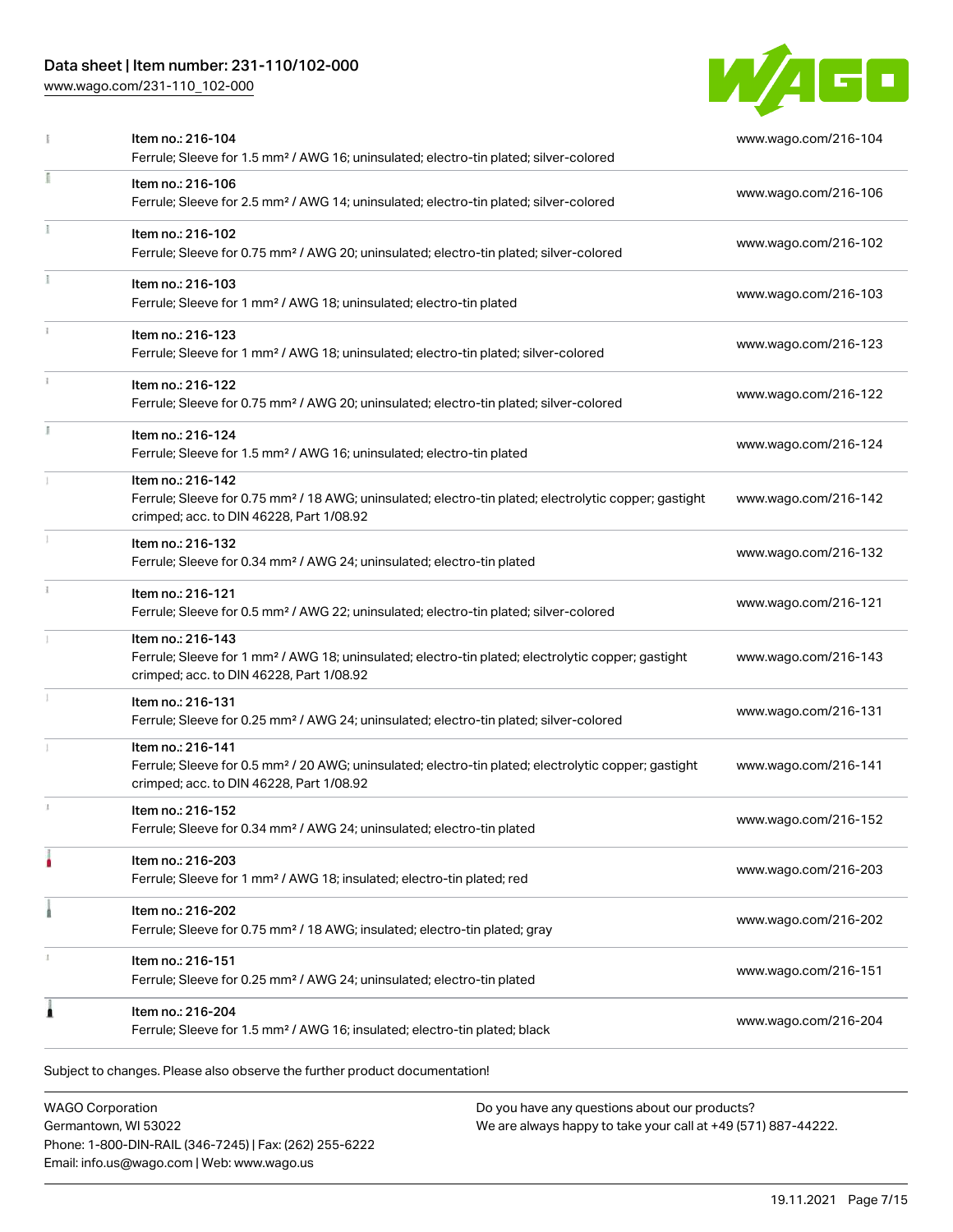## Data sheet | Item number: 231-110/102-000

[www.wago.com/231-110\\_102-000](http://www.wago.com/231-110_102-000)



|   | Item no.: 216-104<br>Ferrule; Sleeve for 1.5 mm <sup>2</sup> / AWG 16; uninsulated; electro-tin plated; silver-colored                                                             | www.wago.com/216-104 |
|---|------------------------------------------------------------------------------------------------------------------------------------------------------------------------------------|----------------------|
|   | Item no.: 216-106<br>Ferrule; Sleeve for 2.5 mm <sup>2</sup> / AWG 14; uninsulated; electro-tin plated; silver-colored                                                             | www.wago.com/216-106 |
|   | Item no.: 216-102<br>Ferrule; Sleeve for 0.75 mm <sup>2</sup> / AWG 20; uninsulated; electro-tin plated; silver-colored                                                            | www.wago.com/216-102 |
|   | Item no.: 216-103<br>Ferrule; Sleeve for 1 mm <sup>2</sup> / AWG 18; uninsulated; electro-tin plated                                                                               | www.wago.com/216-103 |
|   | Item no.: 216-123<br>Ferrule; Sleeve for 1 mm <sup>2</sup> / AWG 18; uninsulated; electro-tin plated; silver-colored                                                               | www.wago.com/216-123 |
|   | Item no.: 216-122<br>Ferrule; Sleeve for 0.75 mm <sup>2</sup> / AWG 20; uninsulated; electro-tin plated; silver-colored                                                            | www.wago.com/216-122 |
|   | Item no.: 216-124<br>Ferrule; Sleeve for 1.5 mm <sup>2</sup> / AWG 16; uninsulated; electro-tin plated                                                                             | www.wago.com/216-124 |
|   | Item no.: 216-142<br>Ferrule; Sleeve for 0.75 mm <sup>2</sup> / 18 AWG; uninsulated; electro-tin plated; electrolytic copper; gastight<br>crimped; acc. to DIN 46228, Part 1/08.92 | www.wago.com/216-142 |
|   | Item no.: 216-132<br>Ferrule; Sleeve for 0.34 mm <sup>2</sup> / AWG 24; uninsulated; electro-tin plated                                                                            | www.wago.com/216-132 |
|   | Item no.: 216-121<br>Ferrule; Sleeve for 0.5 mm <sup>2</sup> / AWG 22; uninsulated; electro-tin plated; silver-colored                                                             | www.wago.com/216-121 |
|   | Item no.: 216-143<br>Ferrule; Sleeve for 1 mm <sup>2</sup> / AWG 18; uninsulated; electro-tin plated; electrolytic copper; gastight<br>crimped; acc. to DIN 46228, Part 1/08.92    | www.wago.com/216-143 |
|   | Item no.: 216-131<br>Ferrule; Sleeve for 0.25 mm <sup>2</sup> / AWG 24; uninsulated; electro-tin plated; silver-colored                                                            | www.wago.com/216-131 |
|   | Item no.: 216-141<br>Ferrule; Sleeve for 0.5 mm <sup>2</sup> / 20 AWG; uninsulated; electro-tin plated; electrolytic copper; gastight<br>crimped; acc. to DIN 46228, Part 1/08.92  | www.wago.com/216-141 |
|   | Item no.: 216-152<br>Ferrule; Sleeve for 0.34 mm <sup>2</sup> / AWG 24; uninsulated; electro-tin plated                                                                            | www.wago.com/216-152 |
|   | Item no.: 216-203<br>Ferrule; Sleeve for 1 mm <sup>2</sup> / AWG 18; insulated; electro-tin plated; red                                                                            | www.wago.com/216-203 |
|   | Item no.: 216-202<br>Ferrule; Sleeve for 0.75 mm <sup>2</sup> / 18 AWG; insulated; electro-tin plated; gray                                                                        | www.wago.com/216-202 |
|   | Item no.: 216-151<br>Ferrule; Sleeve for 0.25 mm <sup>2</sup> / AWG 24; uninsulated; electro-tin plated                                                                            | www.wago.com/216-151 |
| 1 | Item no.: 216-204<br>Ferrule; Sleeve for 1.5 mm <sup>2</sup> / AWG 16; insulated; electro-tin plated; black                                                                        | www.wago.com/216-204 |

WAGO Corporation Germantown, WI 53022 Phone: 1-800-DIN-RAIL (346-7245) | Fax: (262) 255-6222 Email: info.us@wago.com | Web: www.wago.us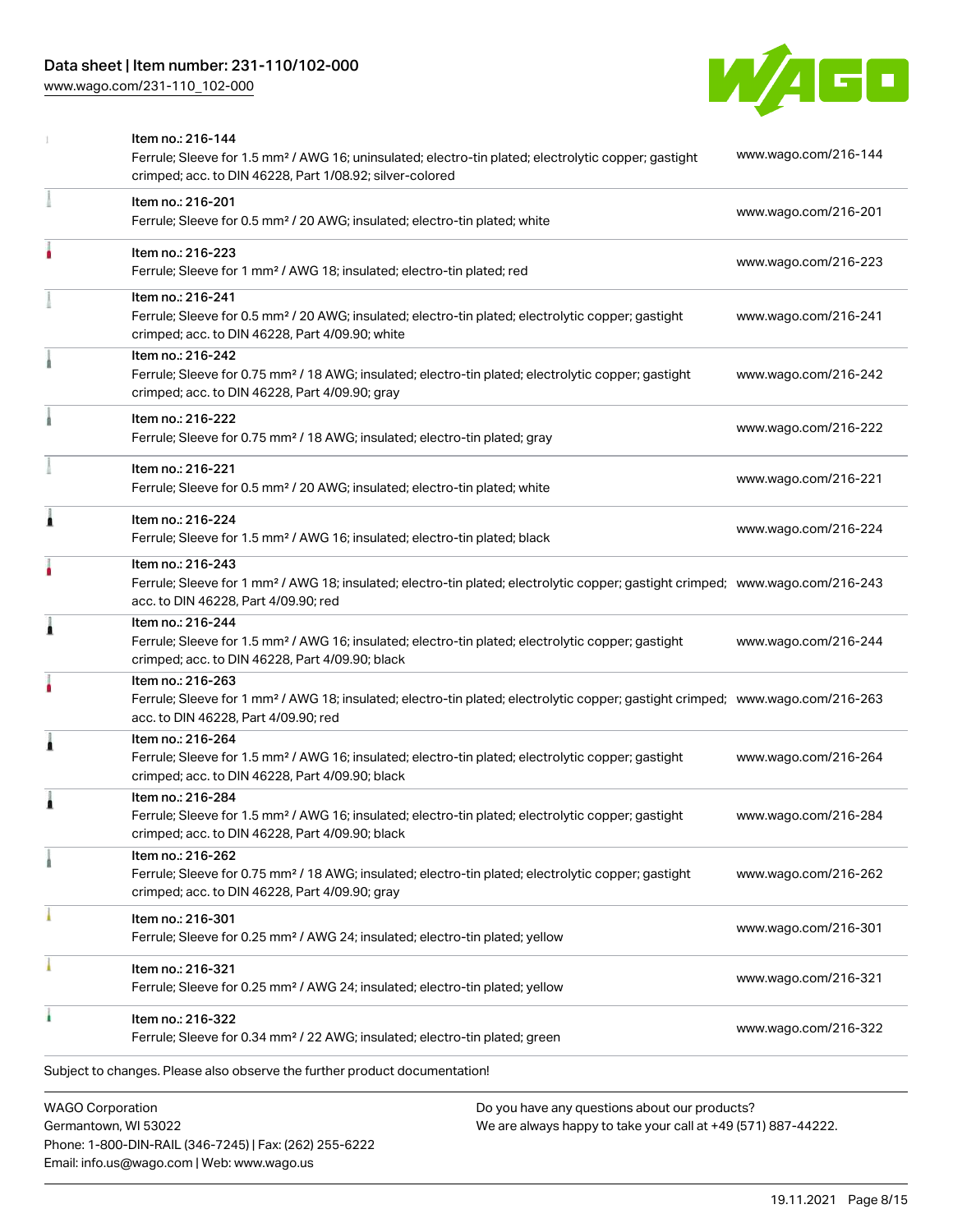

|                         | Item no.: 216-144<br>Ferrule; Sleeve for 1.5 mm <sup>2</sup> / AWG 16; uninsulated; electro-tin plated; electrolytic copper; gastight<br>crimped; acc. to DIN 46228, Part 1/08.92; silver-colored       | www.wago.com/216-144 |
|-------------------------|---------------------------------------------------------------------------------------------------------------------------------------------------------------------------------------------------------|----------------------|
|                         | Item no.: 216-201<br>Ferrule; Sleeve for 0.5 mm <sup>2</sup> / 20 AWG; insulated; electro-tin plated; white                                                                                             | www.wago.com/216-201 |
|                         | Item no.: 216-223<br>Ferrule; Sleeve for 1 mm <sup>2</sup> / AWG 18; insulated; electro-tin plated; red                                                                                                 | www.wago.com/216-223 |
|                         | Item no.: 216-241<br>Ferrule; Sleeve for 0.5 mm <sup>2</sup> / 20 AWG; insulated; electro-tin plated; electrolytic copper; gastight<br>crimped; acc. to DIN 46228, Part 4/09.90; white                  | www.wago.com/216-241 |
|                         | Item no.: 216-242<br>Ferrule; Sleeve for 0.75 mm <sup>2</sup> / 18 AWG; insulated; electro-tin plated; electrolytic copper; gastight<br>crimped; acc. to DIN 46228, Part 4/09.90; gray                  | www.wago.com/216-242 |
|                         | Item no.: 216-222<br>Ferrule; Sleeve for 0.75 mm <sup>2</sup> / 18 AWG; insulated; electro-tin plated; gray                                                                                             | www.wago.com/216-222 |
|                         | Item no.: 216-221<br>Ferrule; Sleeve for 0.5 mm <sup>2</sup> / 20 AWG; insulated; electro-tin plated; white                                                                                             | www.wago.com/216-221 |
| ٨                       | Item no.: 216-224<br>Ferrule; Sleeve for 1.5 mm <sup>2</sup> / AWG 16; insulated; electro-tin plated; black                                                                                             | www.wago.com/216-224 |
|                         | Item no.: 216-243<br>Ferrule; Sleeve for 1 mm <sup>2</sup> / AWG 18; insulated; electro-tin plated; electrolytic copper; gastight crimped; www.wago.com/216-243<br>acc. to DIN 46228, Part 4/09.90; red |                      |
| 1                       | Item no.: 216-244<br>Ferrule; Sleeve for 1.5 mm <sup>2</sup> / AWG 16; insulated; electro-tin plated; electrolytic copper; gastight<br>crimped; acc. to DIN 46228, Part 4/09.90; black                  | www.wago.com/216-244 |
|                         | Item no.: 216-263<br>Ferrule; Sleeve for 1 mm <sup>2</sup> / AWG 18; insulated; electro-tin plated; electrolytic copper; gastight crimped; www.wago.com/216-263<br>acc. to DIN 46228, Part 4/09.90; red |                      |
| 1                       | Item no.: 216-264<br>Ferrule; Sleeve for 1.5 mm <sup>2</sup> / AWG 16; insulated; electro-tin plated; electrolytic copper; gastight<br>crimped; acc. to DIN 46228, Part 4/09.90; black                  | www.wago.com/216-264 |
| 1                       | Item no.: 216-284<br>Ferrule; Sleeve for 1.5 mm <sup>2</sup> / AWG 16; insulated; electro-tin plated; electrolytic copper; gastight<br>crimped; acc. to DIN 46228, Part 4/09.90; black                  | www.wago.com/216-284 |
|                         | Item no.: 216-262<br>Ferrule; Sleeve for 0.75 mm <sup>2</sup> / 18 AWG; insulated; electro-tin plated; electrolytic copper; gastight<br>crimped; acc. to DIN 46228, Part 4/09.90; gray                  | www.wago.com/216-262 |
|                         | Item no.: 216-301<br>Ferrule; Sleeve for 0.25 mm <sup>2</sup> / AWG 24; insulated; electro-tin plated; yellow                                                                                           | www.wago.com/216-301 |
|                         | Item no.: 216-321<br>Ferrule; Sleeve for 0.25 mm <sup>2</sup> / AWG 24; insulated; electro-tin plated; yellow                                                                                           | www.wago.com/216-321 |
|                         | Item no.: 216-322<br>Ferrule; Sleeve for 0.34 mm <sup>2</sup> / 22 AWG; insulated; electro-tin plated; green                                                                                            | www.wago.com/216-322 |
|                         | Subject to changes. Please also observe the further product documentation!                                                                                                                              |                      |
| <b>WAGO Corporation</b> | Do you have any questions about our products?                                                                                                                                                           |                      |

Germantown, WI 53022 Phone: 1-800-DIN-RAIL (346-7245) | Fax: (262) 255-6222 Email: info.us@wago.com | Web: www.wago.us

have any questions about o<mark>l</mark> We are always happy to take your call at +49 (571) 887-44222.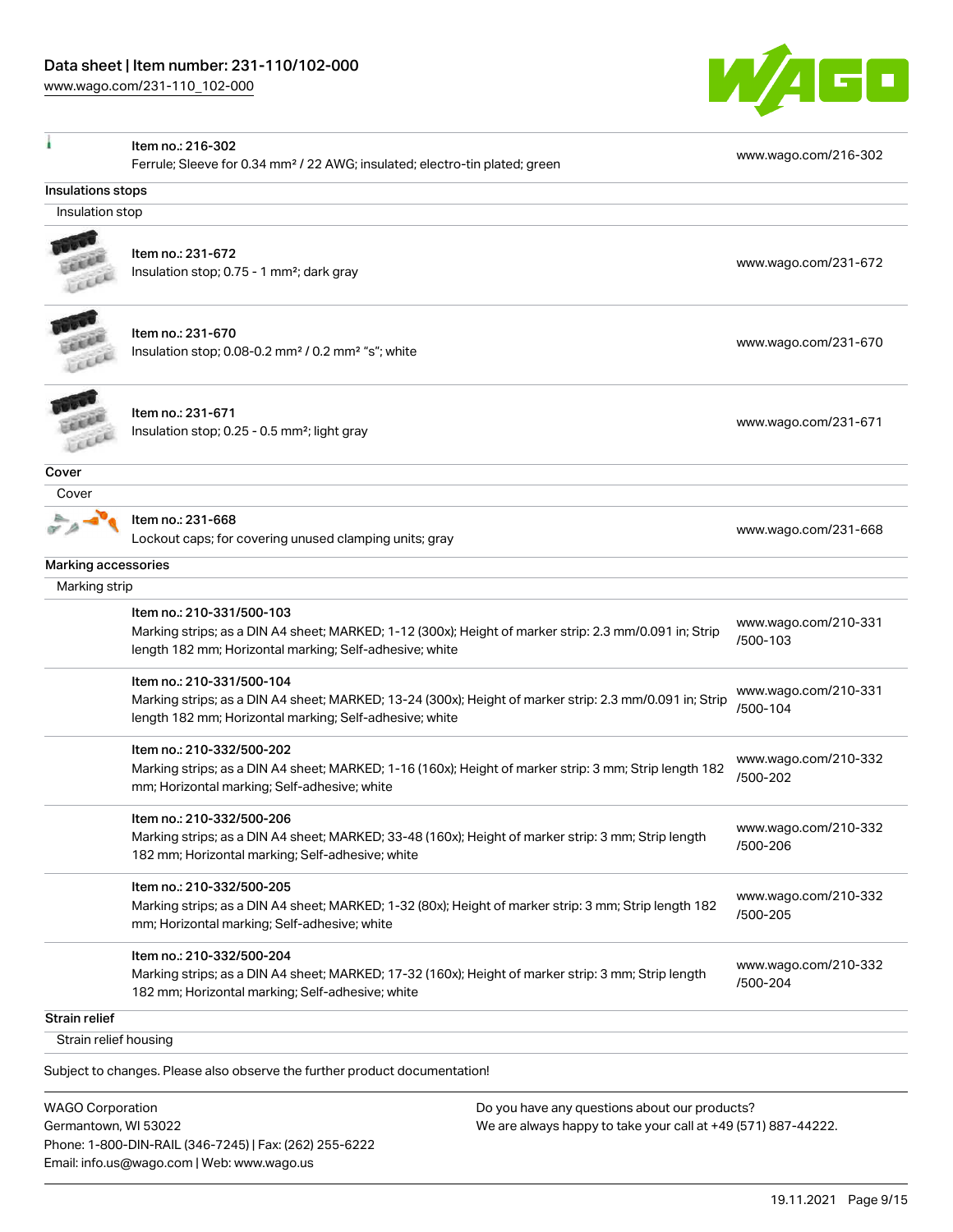

|                       | Item no.: 216-302                                                                                       |                                  |
|-----------------------|---------------------------------------------------------------------------------------------------------|----------------------------------|
|                       | Ferrule; Sleeve for 0.34 mm <sup>2</sup> / 22 AWG; insulated; electro-tin plated; green                 | www.wago.com/216-302             |
| Insulations stops     |                                                                                                         |                                  |
| Insulation stop       |                                                                                                         |                                  |
|                       |                                                                                                         |                                  |
|                       | Item no.: 231-672                                                                                       | www.wago.com/231-672             |
|                       | Insulation stop; 0.75 - 1 mm <sup>2</sup> ; dark gray                                                   |                                  |
|                       | Item no.: 231-670                                                                                       |                                  |
|                       | Insulation stop; 0.08-0.2 mm <sup>2</sup> / 0.2 mm <sup>2</sup> "s"; white                              | www.wago.com/231-670             |
|                       |                                                                                                         |                                  |
|                       | Item no.: 231-671                                                                                       |                                  |
|                       | Insulation stop; 0.25 - 0.5 mm <sup>2</sup> ; light gray                                                | www.wago.com/231-671             |
| Cover                 |                                                                                                         |                                  |
| Cover                 |                                                                                                         |                                  |
|                       | Item no.: 231-668                                                                                       |                                  |
|                       | Lockout caps; for covering unused clamping units; gray                                                  | www.wago.com/231-668             |
| Marking accessories   |                                                                                                         |                                  |
| Marking strip         |                                                                                                         |                                  |
|                       | Item no.: 210-331/500-103                                                                               | www.wago.com/210-331             |
|                       | Marking strips; as a DIN A4 sheet; MARKED; 1-12 (300x); Height of marker strip: 2.3 mm/0.091 in; Strip  | /500-103                         |
|                       | length 182 mm; Horizontal marking; Self-adhesive; white                                                 |                                  |
|                       | Item no.: 210-331/500-104                                                                               |                                  |
|                       | Marking strips; as a DIN A4 sheet; MARKED; 13-24 (300x); Height of marker strip: 2.3 mm/0.091 in; Strip | www.wago.com/210-331<br>/500-104 |
|                       | length 182 mm; Horizontal marking; Self-adhesive; white                                                 |                                  |
|                       | Item no.: 210-332/500-202                                                                               |                                  |
|                       | Marking strips; as a DIN A4 sheet; MARKED; 1-16 (160x); Height of marker strip: 3 mm; Strip length 182  | www.wago.com/210-332             |
|                       | mm; Horizontal marking; Self-adhesive; white                                                            | /500-202                         |
|                       | Item no.: 210-332/500-206                                                                               |                                  |
|                       | Marking strips; as a DIN A4 sheet; MARKED; 33-48 (160x); Height of marker strip: 3 mm; Strip length     | www.wago.com/210-332<br>/500-206 |
|                       | 182 mm; Horizontal marking; Self-adhesive; white                                                        |                                  |
|                       | Item no.: 210-332/500-205                                                                               | www.wago.com/210-332             |
|                       | Marking strips; as a DIN A4 sheet; MARKED; 1-32 (80x); Height of marker strip: 3 mm; Strip length 182   | /500-205                         |
|                       | mm; Horizontal marking; Self-adhesive; white                                                            |                                  |
|                       | Item no.: 210-332/500-204                                                                               |                                  |
|                       | Marking strips; as a DIN A4 sheet; MARKED; 17-32 (160x); Height of marker strip: 3 mm; Strip length     | www.wago.com/210-332<br>/500-204 |
|                       | 182 mm; Horizontal marking; Self-adhesive; white                                                        |                                  |
| Strain relief         |                                                                                                         |                                  |
| Strain relief housing |                                                                                                         |                                  |
|                       | Subject to changes. Please also observe the further product documentation!                              |                                  |

WAGO Corporation Germantown, WI 53022 Phone: 1-800-DIN-RAIL (346-7245) | Fax: (262) 255-6222 Email: info.us@wago.com | Web: www.wago.us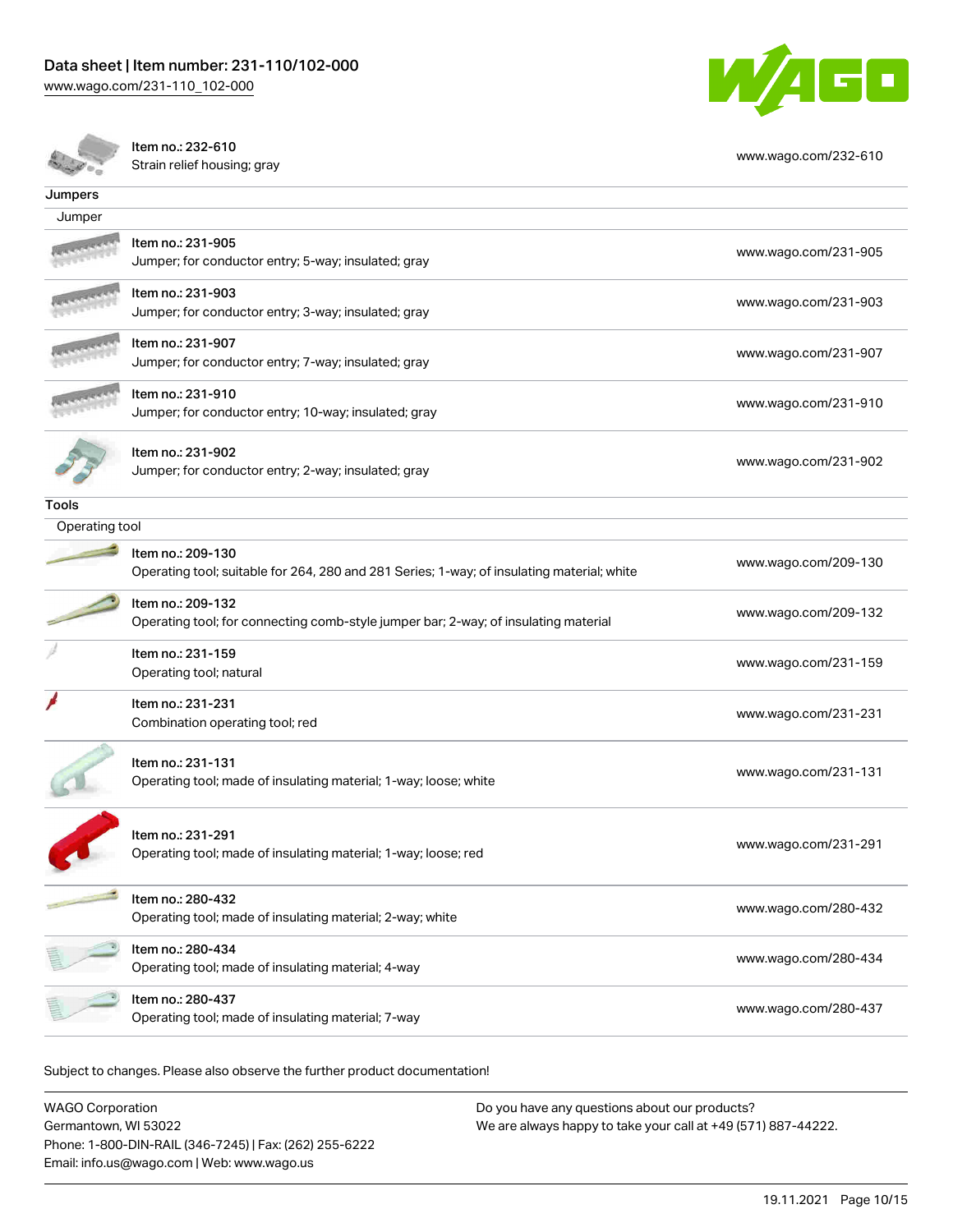

Item no.: 232-610 nch no. 232 010<br>Strain relief housing; gray [www.wago.com/232-610](http://www.wago.com/232-610)

| Jumpers        |                                                                                                                 |                      |
|----------------|-----------------------------------------------------------------------------------------------------------------|----------------------|
| Jumper         |                                                                                                                 |                      |
|                | Item no.: 231-905<br>Jumper; for conductor entry; 5-way; insulated; gray                                        | www.wago.com/231-905 |
|                | Item no.: 231-903<br>Jumper; for conductor entry; 3-way; insulated; gray                                        | www.wago.com/231-903 |
|                | Item no.: 231-907<br>Jumper; for conductor entry; 7-way; insulated; gray                                        | www.wago.com/231-907 |
|                | Item no.: 231-910<br>Jumper; for conductor entry; 10-way; insulated; gray                                       | www.wago.com/231-910 |
|                | Item no.: 231-902<br>Jumper; for conductor entry; 2-way; insulated; gray                                        | www.wago.com/231-902 |
| Tools          |                                                                                                                 |                      |
| Operating tool |                                                                                                                 |                      |
|                | Item no.: 209-130<br>Operating tool; suitable for 264, 280 and 281 Series; 1-way; of insulating material; white | www.wago.com/209-130 |
|                | Item no.: 209-132<br>Operating tool; for connecting comb-style jumper bar; 2-way; of insulating material        | www.wago.com/209-132 |
|                | Item no.: 231-159<br>Operating tool; natural                                                                    | www.wago.com/231-159 |
|                | Item no.: 231-231<br>Combination operating tool; red                                                            | www.wago.com/231-231 |
|                | Item no.: 231-131<br>Operating tool; made of insulating material; 1-way; loose; white                           | www.wago.com/231-131 |
|                | Item no.: 231-291<br>Operating tool; made of insulating material; 1-way; loose; red                             | www.wago.com/231-291 |
|                | Item no.: 280-432<br>Operating tool; made of insulating material; 2-way; white                                  | www.wago.com/280-432 |
|                | Item no.: 280-434<br>Operating tool; made of insulating material; 4-way                                         | www.wago.com/280-434 |
|                | Item no.: 280-437<br>Operating tool; made of insulating material; 7-way                                         | www.wago.com/280-437 |

Subject to changes. Please also observe the further product documentation!

WAGO Corporation Germantown, WI 53022 Phone: 1-800-DIN-RAIL (346-7245) | Fax: (262) 255-6222 Email: info.us@wago.com | Web: www.wago.us Do you have any questions about our products? We are always happy to take your call at +49 (571) 887-44222.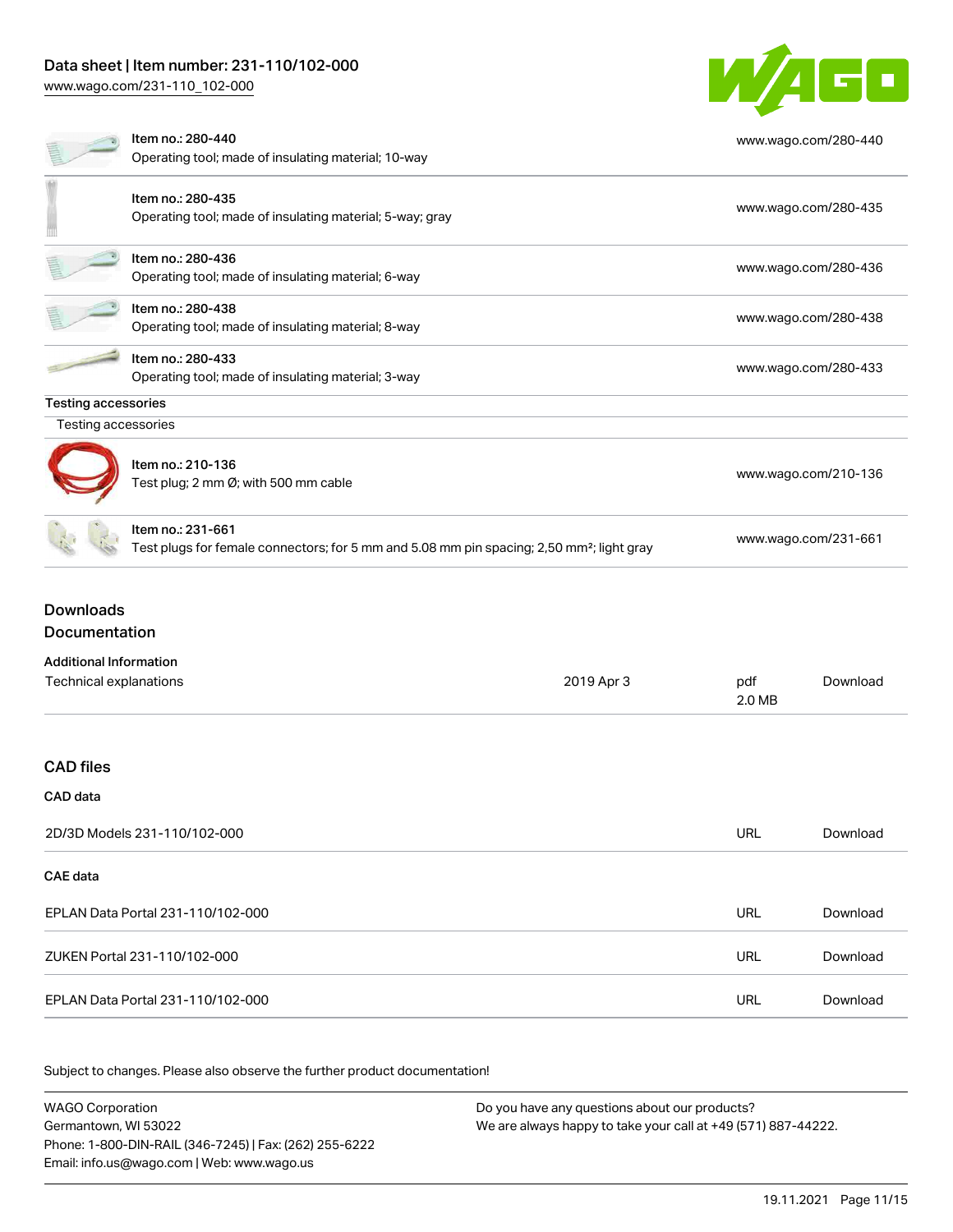## Data sheet | Item number: 231-110/102-000

[www.wago.com/231-110\\_102-000](http://www.wago.com/231-110_102-000)



|                                                         | Item no.: 280-440<br>Operating tool; made of insulating material; 10-way                                                   |            |                      | www.wago.com/280-440 |
|---------------------------------------------------------|----------------------------------------------------------------------------------------------------------------------------|------------|----------------------|----------------------|
|                                                         | Item no.: 280-435<br>Operating tool; made of insulating material; 5-way; gray                                              |            |                      | www.wago.com/280-435 |
|                                                         | Item no.: 280-436<br>Operating tool; made of insulating material; 6-way                                                    |            |                      | www.wago.com/280-436 |
|                                                         | Item no.: 280-438<br>Operating tool; made of insulating material; 8-way                                                    |            |                      | www.wago.com/280-438 |
|                                                         | Item no.: 280-433<br>Operating tool; made of insulating material; 3-way                                                    |            |                      | www.wago.com/280-433 |
| <b>Testing accessories</b>                              |                                                                                                                            |            |                      |                      |
| Testing accessories                                     |                                                                                                                            |            |                      |                      |
|                                                         | Item no.: 210-136<br>Test plug; 2 mm Ø; with 500 mm cable                                                                  |            |                      | www.wago.com/210-136 |
|                                                         | Item no.: 231-661<br>Test plugs for female connectors; for 5 mm and 5.08 mm pin spacing; 2,50 mm <sup>2</sup> ; light gray |            | www.wago.com/231-661 |                      |
| <b>Downloads</b><br>Documentation                       |                                                                                                                            |            |                      |                      |
|                                                         |                                                                                                                            |            |                      |                      |
| <b>Additional Information</b><br>Technical explanations |                                                                                                                            | 2019 Apr 3 | pdf<br>2.0 MB        | Download             |
| <b>CAD</b> files                                        |                                                                                                                            |            |                      |                      |
| CAD data                                                |                                                                                                                            |            |                      |                      |
|                                                         | 2D/3D Models 231-110/102-000                                                                                               |            | <b>URL</b>           | Download             |
| <b>CAE</b> data                                         |                                                                                                                            |            |                      |                      |
|                                                         | EPLAN Data Portal 231-110/102-000                                                                                          |            | <b>URL</b>           | Download             |
|                                                         | ZUKEN Portal 231-110/102-000                                                                                               |            | <b>URL</b>           | Download             |
|                                                         | EPLAN Data Portal 231-110/102-000                                                                                          |            | <b>URL</b>           | Download             |

Subject to changes. Please also observe the further product documentation!

WAGO Corporation Germantown, WI 53022 Phone: 1-800-DIN-RAIL (346-7245) | Fax: (262) 255-6222 Email: info.us@wago.com | Web: www.wago.us Do you have any questions about our products? We are always happy to take your call at +49 (571) 887-44222.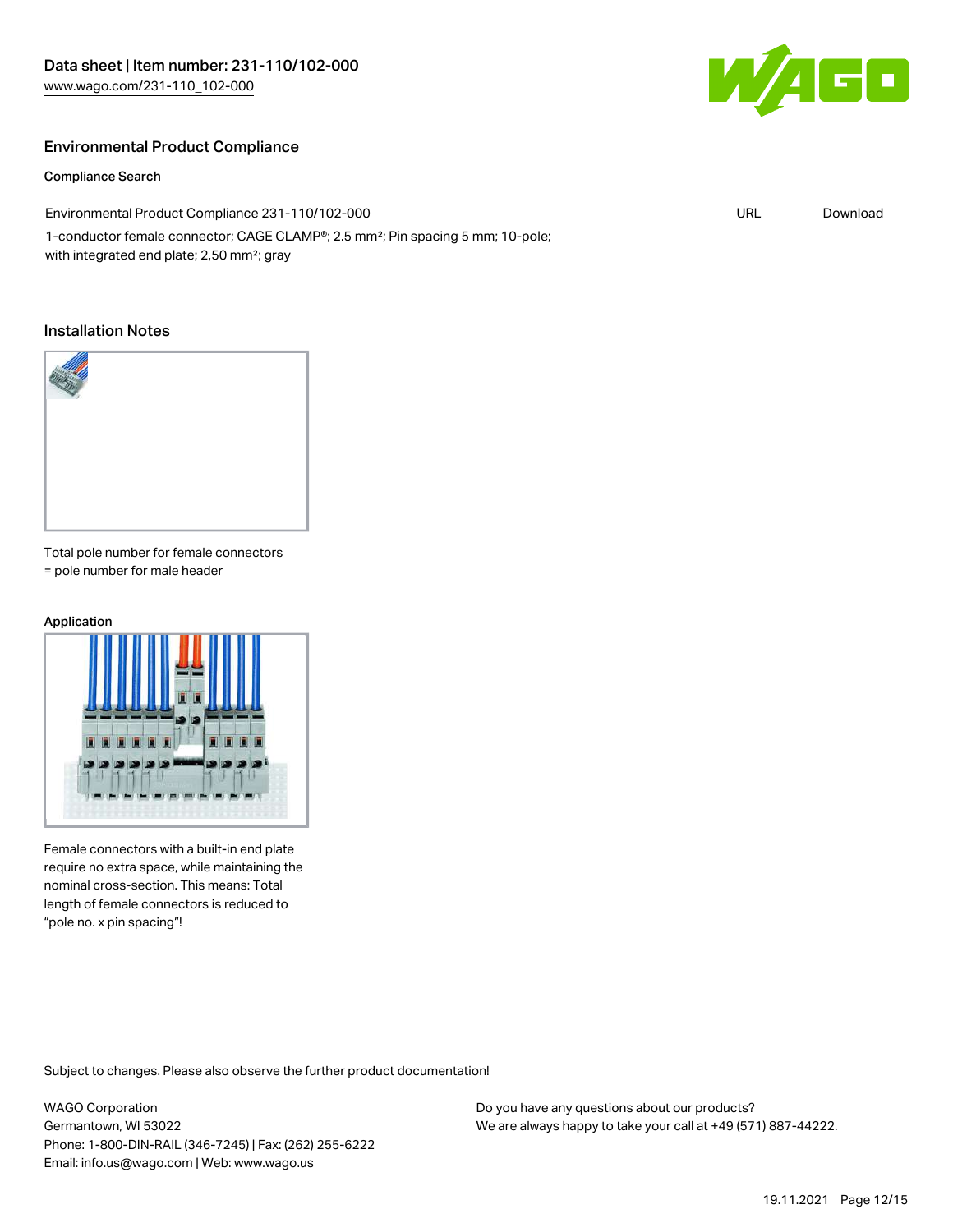

URL [Download](https://www.wago.com/global/d/ComplianceLinkMediaContainer_231-110_102-000)

#### Environmental Product Compliance

#### Compliance Search

Environmental Product Compliance 231-110/102-000

1-conductor female connector; CAGE CLAMP®; 2.5 mm²; Pin spacing 5 mm; 10-pole; with integrated end plate; 2,50 mm²; gray

#### Installation Notes



Total pole number for female connectors = pole number for male header

#### Application



Female connectors with a built-in end plate require no extra space, while maintaining the nominal cross-section. This means: Total length of female connectors is reduced to "pole no. x pin spacing"!

Subject to changes. Please also observe the further product documentation!

WAGO Corporation Germantown, WI 53022 Phone: 1-800-DIN-RAIL (346-7245) | Fax: (262) 255-6222 Email: info.us@wago.com | Web: www.wago.us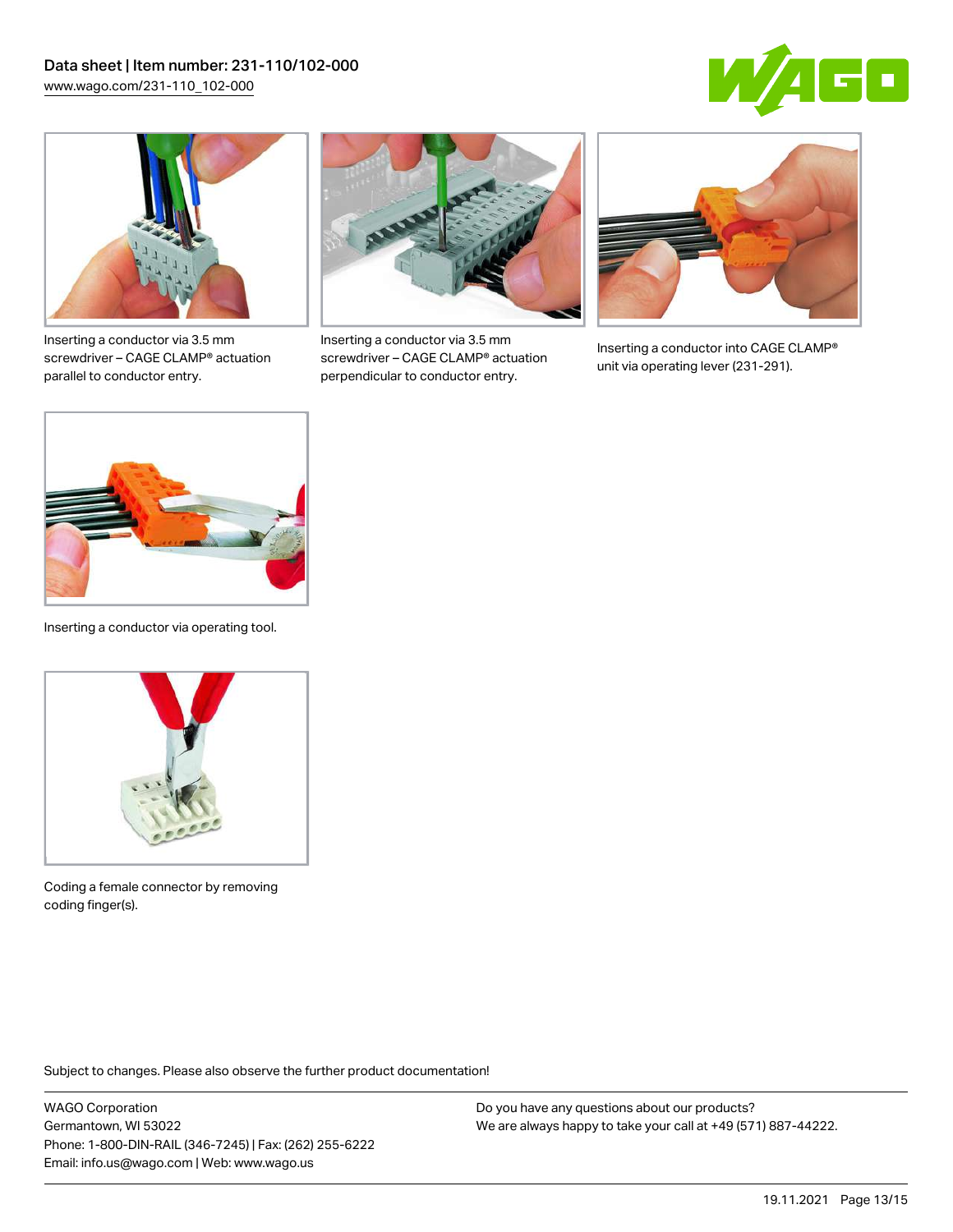



Inserting a conductor via 3.5 mm screwdriver – CAGE CLAMP® actuation parallel to conductor entry.



Inserting a conductor via 3.5 mm screwdriver – CAGE CLAMP® actuation perpendicular to conductor entry.



Inserting a conductor into CAGE CLAMP® unit via operating lever (231-291).



Inserting a conductor via operating tool.



Coding a female connector by removing coding finger(s).

Subject to changes. Please also observe the further product documentation!

WAGO Corporation Germantown, WI 53022 Phone: 1-800-DIN-RAIL (346-7245) | Fax: (262) 255-6222 Email: info.us@wago.com | Web: www.wago.us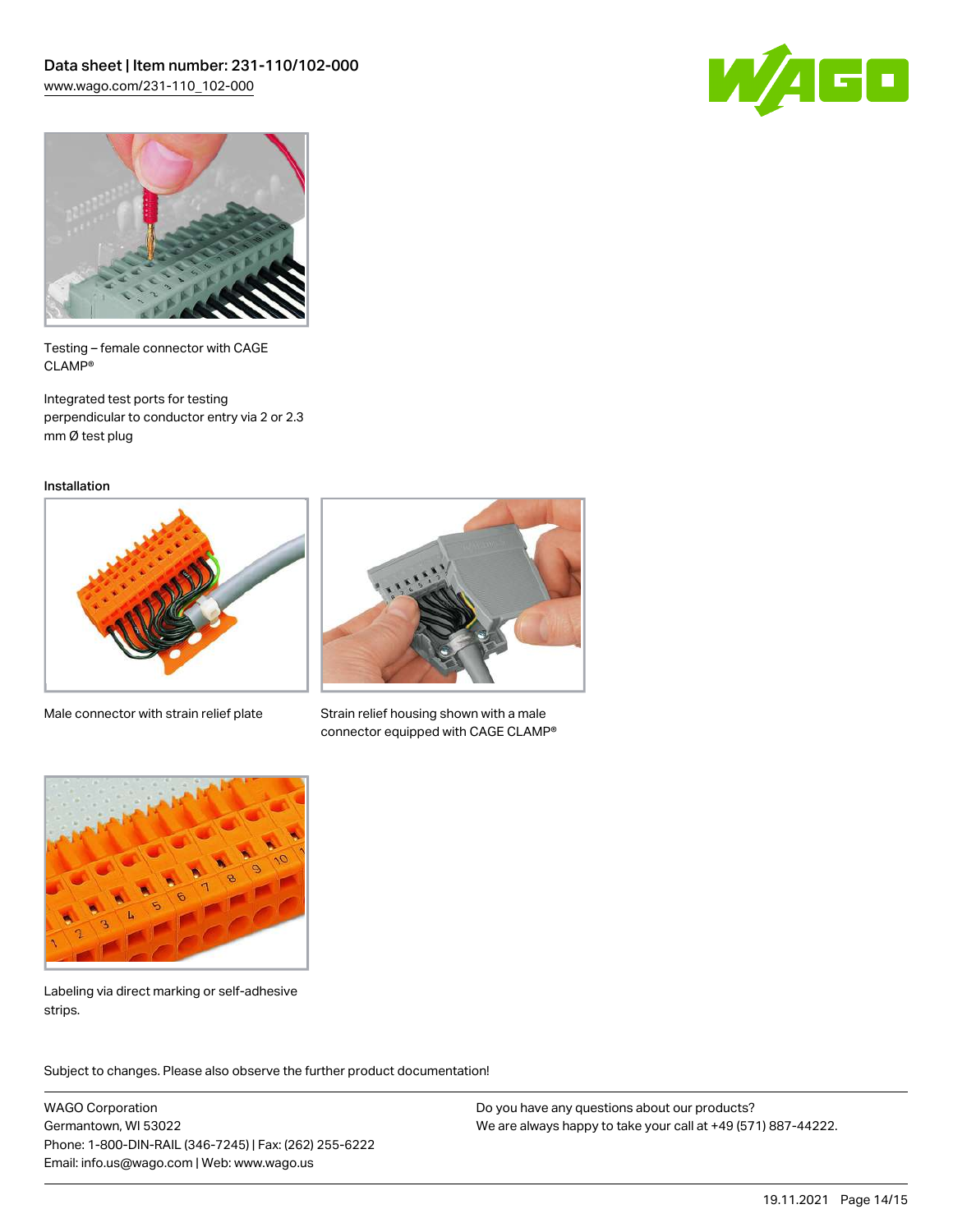



Testing – female connector with CAGE CLAMP®

Integrated test ports for testing perpendicular to conductor entry via 2 or 2.3 mm Ø test plug

Installation



Male connector with strain relief plate



Strain relief housing shown with a male connector equipped with CAGE CLAMP®



Labeling via direct marking or self-adhesive strips.

Subject to changes. Please also observe the further product documentation! Product family

WAGO Corporation Germantown, WI 53022 Phone: 1-800-DIN-RAIL (346-7245) | Fax: (262) 255-6222 Email: info.us@wago.com | Web: www.wago.us